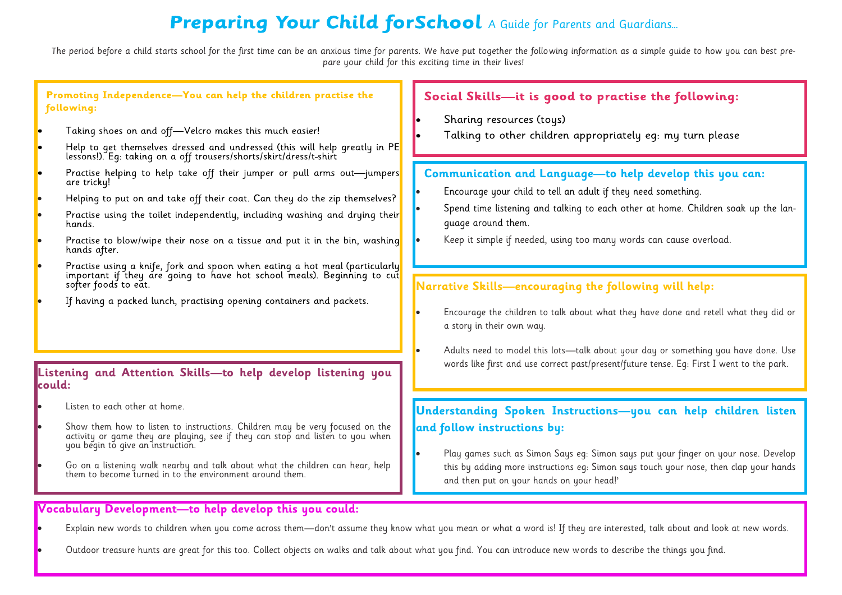## **Preparing Your Child forSchool** A Guide for Parents and Guardians...

The period before a child starts school for the first time can be an anxious time for parents. We have put together the following information as a simple guide to how you can best prepare your child for this exciting time in their lives!



Explain new words to children when you come across them—don't assume they know what you mean or what a word is! If they are interested, talk about and look at new words.

Outdoor treasure hunts are great for this too. Collect objects on walks and talk about what you find. You can introduce new words to describe the things you find.